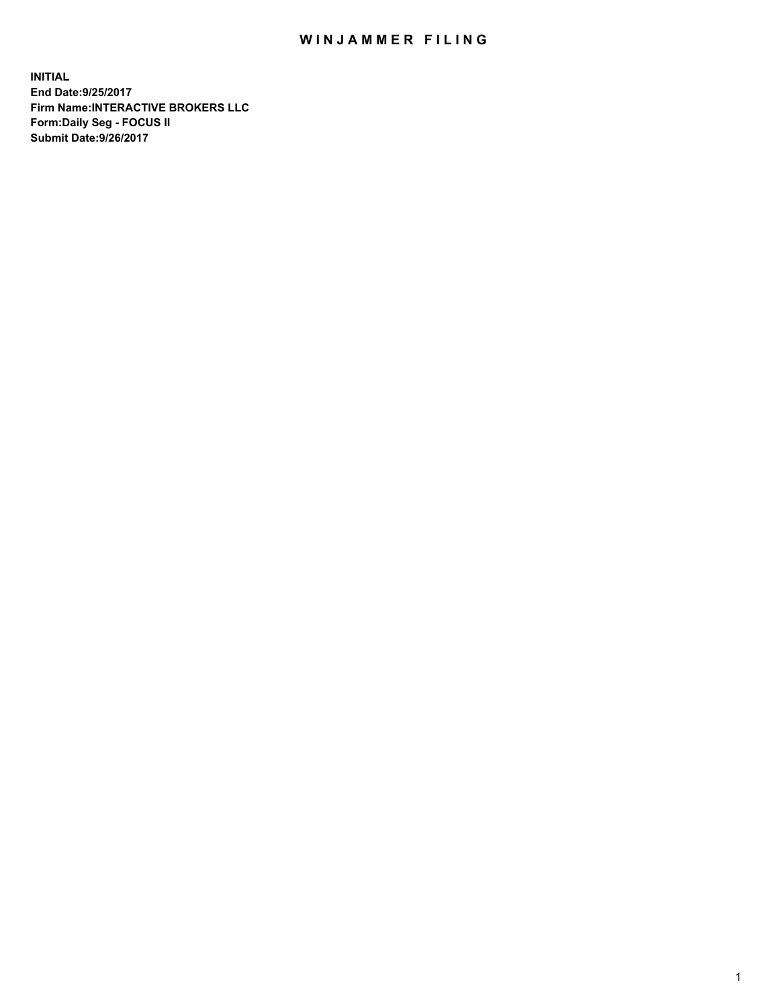## WIN JAMMER FILING

**INITIAL End Date:9/25/2017 Firm Name:INTERACTIVE BROKERS LLC Form:Daily Seg - FOCUS II Submit Date:9/26/2017**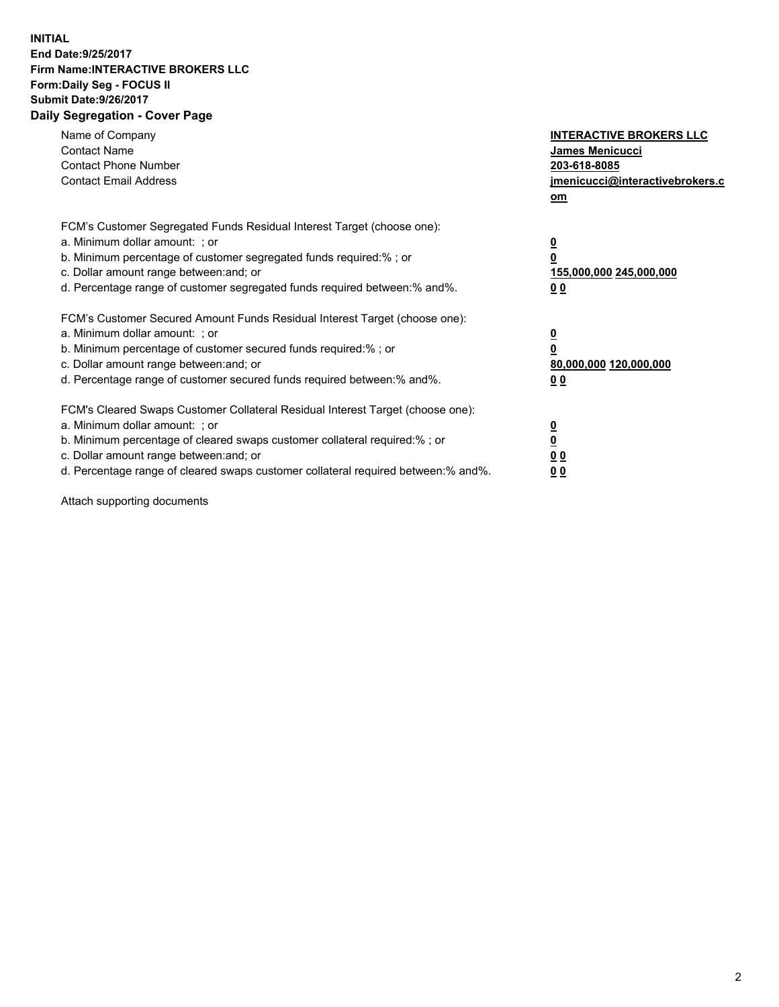## **INITIAL End Date:9/25/2017 Firm Name:INTERACTIVE BROKERS LLC Form:Daily Seg - FOCUS II Submit Date:9/26/2017 Daily Segregation - Cover Page**

| Name of Company<br><b>Contact Name</b><br><b>Contact Phone Number</b><br><b>Contact Email Address</b>                                                                                                                                                                                                                          | <b>INTERACTIVE BROKERS LLC</b><br>James Menicucci<br>203-618-8085<br>jmenicucci@interactivebrokers.c<br>om |
|--------------------------------------------------------------------------------------------------------------------------------------------------------------------------------------------------------------------------------------------------------------------------------------------------------------------------------|------------------------------------------------------------------------------------------------------------|
| FCM's Customer Segregated Funds Residual Interest Target (choose one):<br>a. Minimum dollar amount: ; or<br>b. Minimum percentage of customer segregated funds required:% ; or<br>c. Dollar amount range between: and; or<br>d. Percentage range of customer segregated funds required between:% and%.                         | $\overline{\mathbf{0}}$<br>0<br>155,000,000 245,000,000<br>0 <sub>0</sub>                                  |
| FCM's Customer Secured Amount Funds Residual Interest Target (choose one):<br>a. Minimum dollar amount: ; or<br>b. Minimum percentage of customer secured funds required:%; or<br>c. Dollar amount range between: and; or<br>d. Percentage range of customer secured funds required between: % and %.                          | $\overline{\mathbf{0}}$<br>0<br>80,000,000 120,000,000<br>0 <sub>0</sub>                                   |
| FCM's Cleared Swaps Customer Collateral Residual Interest Target (choose one):<br>a. Minimum dollar amount: ; or<br>b. Minimum percentage of cleared swaps customer collateral required:% ; or<br>c. Dollar amount range between: and; or<br>d. Percentage range of cleared swaps customer collateral required between:% and%. | $\overline{\mathbf{0}}$<br>$\overline{\mathbf{0}}$<br>0 <sub>0</sub><br>0 <sub>0</sub>                     |

Attach supporting documents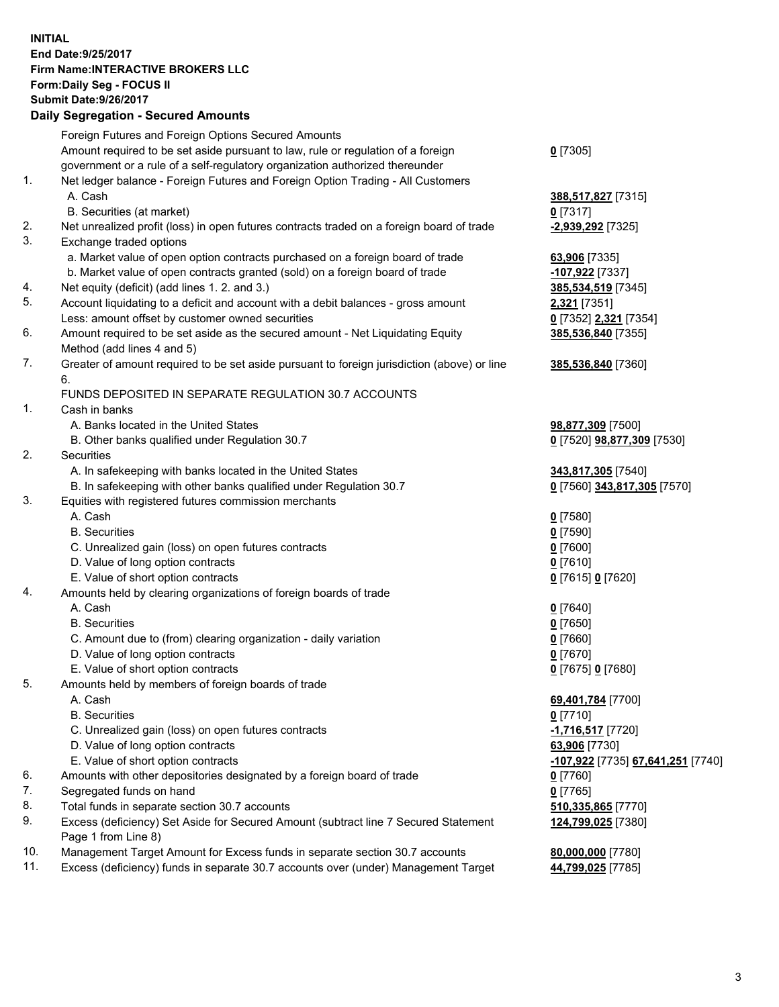## **INITIAL End Date:9/25/2017 Firm Name:INTERACTIVE BROKERS LLC Form:Daily Seg - FOCUS II Submit Date:9/26/2017**

| <b>Daily Segregation - Secured Amounts</b> |                                                                                                                                                                   |                                        |  |  |
|--------------------------------------------|-------------------------------------------------------------------------------------------------------------------------------------------------------------------|----------------------------------------|--|--|
|                                            | Foreign Futures and Foreign Options Secured Amounts                                                                                                               |                                        |  |  |
|                                            | Amount required to be set aside pursuant to law, rule or regulation of a foreign                                                                                  | $0$ [7305]                             |  |  |
|                                            | government or a rule of a self-regulatory organization authorized thereunder                                                                                      |                                        |  |  |
| 1.                                         | Net ledger balance - Foreign Futures and Foreign Option Trading - All Customers                                                                                   |                                        |  |  |
|                                            | A. Cash                                                                                                                                                           | 388,517,827 [7315]                     |  |  |
|                                            | B. Securities (at market)                                                                                                                                         | $0$ [7317]                             |  |  |
| 2.                                         | Net unrealized profit (loss) in open futures contracts traded on a foreign board of trade                                                                         | -2,939,292 [7325]                      |  |  |
| 3.                                         | Exchange traded options                                                                                                                                           |                                        |  |  |
|                                            | a. Market value of open option contracts purchased on a foreign board of trade                                                                                    | 63,906 [7335]                          |  |  |
|                                            | b. Market value of open contracts granted (sold) on a foreign board of trade                                                                                      | -107,922 [7337]                        |  |  |
| 4.                                         | Net equity (deficit) (add lines 1.2. and 3.)                                                                                                                      | 385,534,519 [7345]                     |  |  |
| 5.                                         | Account liquidating to a deficit and account with a debit balances - gross amount                                                                                 | 2,321 [7351]                           |  |  |
|                                            | Less: amount offset by customer owned securities                                                                                                                  | 0 [7352] 2,321 [7354]                  |  |  |
| 6.                                         | Amount required to be set aside as the secured amount - Net Liquidating Equity                                                                                    | 385,536,840 [7355]                     |  |  |
|                                            | Method (add lines 4 and 5)                                                                                                                                        |                                        |  |  |
| 7.                                         | Greater of amount required to be set aside pursuant to foreign jurisdiction (above) or line                                                                       | 385,536,840 [7360]                     |  |  |
|                                            | 6.                                                                                                                                                                |                                        |  |  |
|                                            | FUNDS DEPOSITED IN SEPARATE REGULATION 30.7 ACCOUNTS                                                                                                              |                                        |  |  |
| 1.                                         | Cash in banks                                                                                                                                                     |                                        |  |  |
|                                            | A. Banks located in the United States                                                                                                                             | 98,877,309 [7500]                      |  |  |
|                                            | B. Other banks qualified under Regulation 30.7                                                                                                                    | 0 [7520] 98,877,309 [7530]             |  |  |
| 2.                                         | Securities                                                                                                                                                        |                                        |  |  |
|                                            | A. In safekeeping with banks located in the United States                                                                                                         | 343,817,305 [7540]                     |  |  |
|                                            | B. In safekeeping with other banks qualified under Regulation 30.7                                                                                                | 0 [7560] 343,817,305 [7570]            |  |  |
| 3.                                         | Equities with registered futures commission merchants                                                                                                             |                                        |  |  |
|                                            | A. Cash                                                                                                                                                           | $0$ [7580]                             |  |  |
|                                            | <b>B.</b> Securities                                                                                                                                              | $0$ [7590]                             |  |  |
|                                            | C. Unrealized gain (loss) on open futures contracts                                                                                                               | $0$ [7600]                             |  |  |
|                                            | D. Value of long option contracts                                                                                                                                 | $0$ [7610]                             |  |  |
|                                            | E. Value of short option contracts                                                                                                                                | 0 [7615] 0 [7620]                      |  |  |
| 4.                                         | Amounts held by clearing organizations of foreign boards of trade                                                                                                 |                                        |  |  |
|                                            | A. Cash                                                                                                                                                           | $0$ [7640]                             |  |  |
|                                            | <b>B.</b> Securities                                                                                                                                              | $0$ [7650]                             |  |  |
|                                            | C. Amount due to (from) clearing organization - daily variation                                                                                                   | $0$ [7660]                             |  |  |
|                                            | D. Value of long option contracts                                                                                                                                 | $0$ [7670]                             |  |  |
|                                            | E. Value of short option contracts                                                                                                                                | 0 [7675] 0 [7680]                      |  |  |
| 5.                                         | Amounts held by members of foreign boards of trade                                                                                                                |                                        |  |  |
|                                            | A. Cash                                                                                                                                                           | 69,401,784 [7700]                      |  |  |
|                                            | <b>B.</b> Securities                                                                                                                                              | $0$ [7710]                             |  |  |
|                                            | C. Unrealized gain (loss) on open futures contracts                                                                                                               | <u>-1,716,517</u> [7720]               |  |  |
|                                            | D. Value of long option contracts                                                                                                                                 | 63,906 [7730]                          |  |  |
|                                            | E. Value of short option contracts                                                                                                                                | -107,922 [7735] 67,641,251 [7740]      |  |  |
| 6.                                         | Amounts with other depositories designated by a foreign board of trade                                                                                            | $0$ [7760]                             |  |  |
| 7.                                         | Segregated funds on hand                                                                                                                                          | $0$ [7765]                             |  |  |
| 8.                                         | Total funds in separate section 30.7 accounts                                                                                                                     | 510,335,865 [7770]                     |  |  |
| 9.                                         | Excess (deficiency) Set Aside for Secured Amount (subtract line 7 Secured Statement                                                                               | 124,799,025 [7380]                     |  |  |
| 10.                                        | Page 1 from Line 8)                                                                                                                                               |                                        |  |  |
| 11.                                        | Management Target Amount for Excess funds in separate section 30.7 accounts<br>Excess (deficiency) funds in separate 30.7 accounts over (under) Management Target | 80,000,000 [7780]<br>44,799,025 [7785] |  |  |
|                                            |                                                                                                                                                                   |                                        |  |  |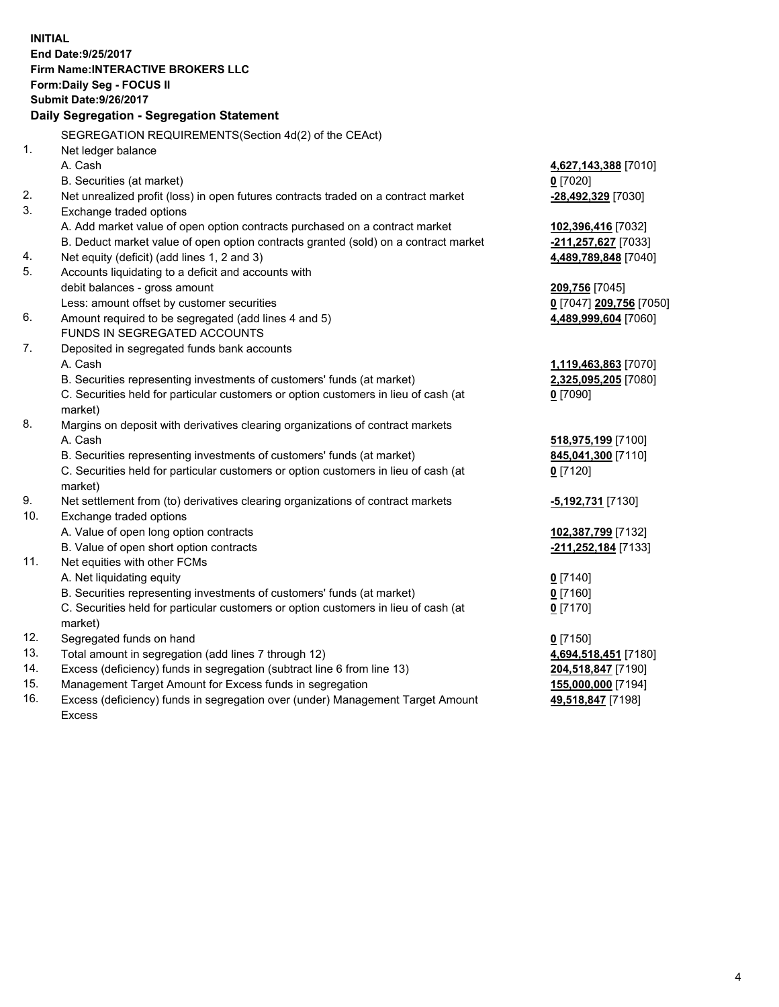**INITIAL End Date:9/25/2017 Firm Name:INTERACTIVE BROKERS LLC Form:Daily Seg - FOCUS II Submit Date:9/26/2017 Daily Segregation - Segregation Statement** SEGREGATION REQUIREMENTS(Section 4d(2) of the CEAct) 1. Net ledger balance A. Cash **4,627,143,388** [7010] B. Securities (at market) **0** [7020] 2. Net unrealized profit (loss) in open futures contracts traded on a contract market **-28,492,329** [7030] 3. Exchange traded options A. Add market value of open option contracts purchased on a contract market **102,396,416** [7032] B. Deduct market value of open option contracts granted (sold) on a contract market **-211,257,627** [7033] 4. Net equity (deficit) (add lines 1, 2 and 3) **4,489,789,848** [7040] 5. Accounts liquidating to a deficit and accounts with debit balances - gross amount **209,756** [7045] Less: amount offset by customer securities **0** [7047] **209,756** [7050] 6. Amount required to be segregated (add lines 4 and 5) **4,489,999,604** [7060] FUNDS IN SEGREGATED ACCOUNTS 7. Deposited in segregated funds bank accounts A. Cash **1,119,463,863** [7070] B. Securities representing investments of customers' funds (at market) **2,325,095,205** [7080] C. Securities held for particular customers or option customers in lieu of cash (at market) **0** [7090] 8. Margins on deposit with derivatives clearing organizations of contract markets A. Cash **518,975,199** [7100] B. Securities representing investments of customers' funds (at market) **845,041,300** [7110] C. Securities held for particular customers or option customers in lieu of cash (at market) **0** [7120] 9. Net settlement from (to) derivatives clearing organizations of contract markets **-5,192,731** [7130] 10. Exchange traded options A. Value of open long option contracts **102,387,799** [7132] B. Value of open short option contracts **-211,252,184** [7133] 11. Net equities with other FCMs A. Net liquidating equity **0** [7140] B. Securities representing investments of customers' funds (at market) **0** [7160] C. Securities held for particular customers or option customers in lieu of cash (at market) **0** [7170] 12. Segregated funds on hand **0** [7150] 13. Total amount in segregation (add lines 7 through 12) **4,694,518,451** [7180] 14. Excess (deficiency) funds in segregation (subtract line 6 from line 13) **204,518,847** [7190] 15. Management Target Amount for Excess funds in segregation **155,000,000** [7194] 16. Excess (deficiency) funds in segregation over (under) Management Target Amount **49,518,847** [7198]

Excess